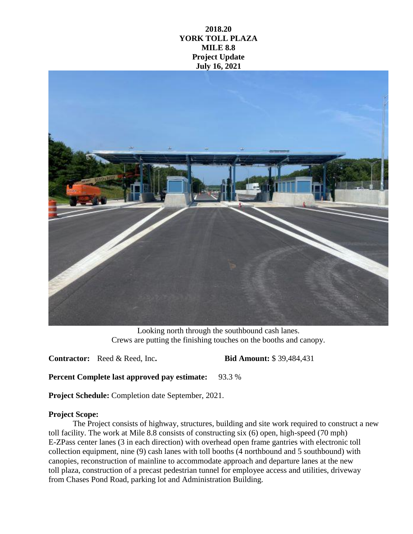## **2018.20 YORK TOLL PLAZA MILE 8.8 Project Update July 16, 2021**



Looking north through the southbound cash lanes. Crews are putting the finishing touches on the booths and canopy.

**Contractor:** Reed & Reed, Inc**. Bid Amount:** \$ 39,484,431

**Percent Complete last approved pay estimate:** 93.3 %

**Project Schedule:** Completion date September, 2021.

## **Project Scope:**

The Project consists of highway, structures, building and site work required to construct a new toll facility. The work at Mile 8.8 consists of constructing six (6) open, high-speed (70 mph) E-ZPass center lanes (3 in each direction) with overhead open frame gantries with electronic toll collection equipment, nine (9) cash lanes with toll booths (4 northbound and 5 southbound) with canopies, reconstruction of mainline to accommodate approach and departure lanes at the new toll plaza, construction of a precast pedestrian tunnel for employee access and utilities, driveway from Chases Pond Road, parking lot and Administration Building.